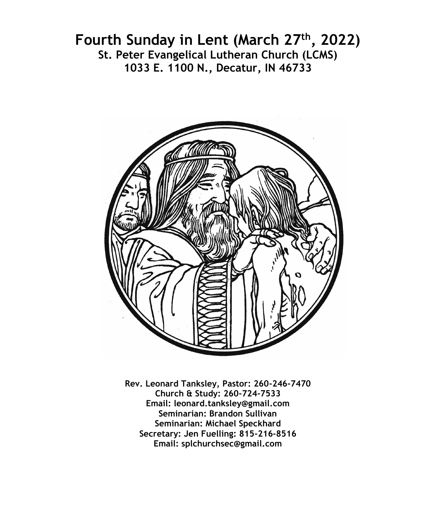# **Fourth Sunday in Lent (March 27th, 2022) St. Peter Evangelical Lutheran Church (LCMS) 1033 E. 1100 N., Decatur, IN 46733**



**Rev. Leonard Tanksley, Pastor: 260-246-7470 Church & Study: 260-724-7533 Email: leonard.tanksley@gmail.com Seminarian: Brandon Sullivan Seminarian: Michael Speckhard Secretary: Jen Fuelling: 815-216-8516 Email: splchurchsec@gmail.com**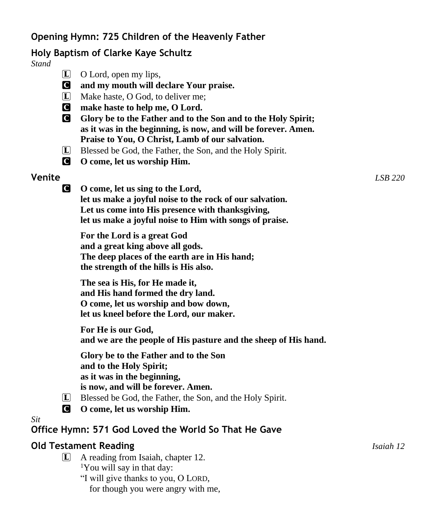# **Opening Hymn: 725 Children of the Heavenly Father**

# **Holy Baptism of Clarke Kaye Schultz**

*Stand*

- L O Lord, open my lips,
- C **and my mouth will declare Your praise.**
- $\Box$  Make haste, O God, to deliver me:
- C **make haste to help me, O Lord.**
- C **Glory be to the Father and to the Son and to the Holy Spirit; as it was in the beginning, is now, and will be forever. Amen. Praise to You, O Christ, Lamb of our salvation.**
- L Blessed be God, the Father, the Son, and the Holy Spirit.
- C **O come, let us worship Him.**

# **Venite** *LSB 220*

C **O come, let us sing to the Lord, let us make a joyful noise to the rock of our salvation. Let us come into His presence with thanksgiving, let us make a joyful noise to Him with songs of praise.**

**For the Lord is a great God and a great king above all gods. The deep places of the earth are in His hand; the strength of the hills is His also.**

**The sea is His, for He made it, and His hand formed the dry land. O come, let us worship and bow down, let us kneel before the Lord, our maker.**

**For He is our God, and we are the people of His pasture and the sheep of His hand.**

**Glory be to the Father and to the Son and to the Holy Spirit; as it was in the beginning, is now, and will be forever. Amen.**

- L Blessed be God, the Father, the Son, and the Holy Spirit.
- C **O come, let us worship Him.**

*Sit*

**Office Hymn: 571 God Loved the World So That He Gave**

# **Old Testament Reading** *Isaiah 12*

L A reading from Isaiah, chapter 12. <sup>1</sup>You will say in that day: "I will give thanks to you, O LORD,

for though you were angry with me,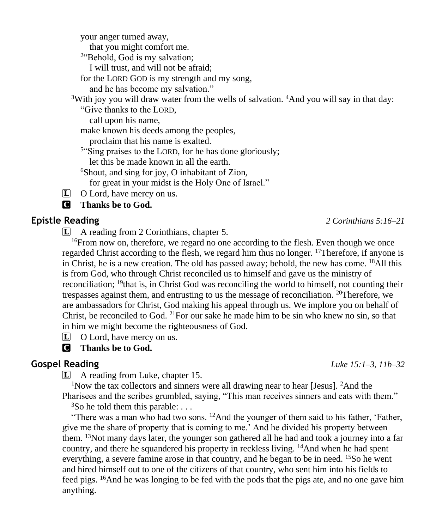your anger turned away, that you might comfort me. <sup>2</sup>"Behold, God is my salvation; I will trust, and will not be afraid; for the LORD GOD is my strength and my song,

and he has become my salvation."

<sup>3</sup>With joy you will draw water from the wells of salvation. <sup>4</sup>And you will say in that day:

"Give thanks to the LORD,

call upon his name,

make known his deeds among the peoples,

proclaim that his name is exalted.

<sup>5"</sup>Sing praises to the LORD, for he has done gloriously;

let this be made known in all the earth.

<sup>6</sup>Shout, and sing for joy, O inhabitant of Zion,

for great in your midst is the Holy One of Israel."

 $\Box$  O Lord, have mercy on us.

C **Thanks be to God.**

L A reading from 2 Corinthians, chapter 5.

<sup>16</sup>From now on, therefore, we regard no one according to the flesh. Even though we once regarded Christ according to the flesh, we regard him thus no longer. <sup>17</sup>Therefore, if anyone is in Christ, he is a new creation. The old has passed away; behold, the new has come. <sup>18</sup>All this is from God, who through Christ reconciled us to himself and gave us the ministry of reconciliation; <sup>19</sup>that is, in Christ God was reconciling the world to himself, not counting their trespasses against them, and entrusting to us the message of reconciliation. <sup>20</sup>Therefore, we are ambassadors for Christ, God making his appeal through us. We implore you on behalf of Christ, be reconciled to God. <sup>21</sup> For our sake he made him to be sin who knew no sin, so that in him we might become the righteousness of God.

L O Lord, have mercy on us.

# C **Thanks be to God.**

L A reading from Luke, chapter 15.

<sup>1</sup>Now the tax collectors and sinners were all drawing near to hear [Jesus]. <sup>2</sup>And the

Pharisees and the scribes grumbled, saying, "This man receives sinners and eats with them."  ${}^{3}$ So he told them this parable: ...

"There was a man who had two sons. <sup>12</sup>And the younger of them said to his father, 'Father, give me the share of property that is coming to me.' And he divided his property between them.  $13$ Not many days later, the younger son gathered all he had and took a journey into a far country, and there he squandered his property in reckless living.  $\frac{14}{4}$ And when he had spent everything, a severe famine arose in that country, and he began to be in need.  $15S$  he went and hired himself out to one of the citizens of that country, who sent him into his fields to feed pigs. <sup>16</sup>And he was longing to be fed with the pods that the pigs ate, and no one gave him anything.

**Gospel Reading** *Luke 15:1–3, 11b–32*

**Epistle Reading** *2 Corinthians 5:16–21*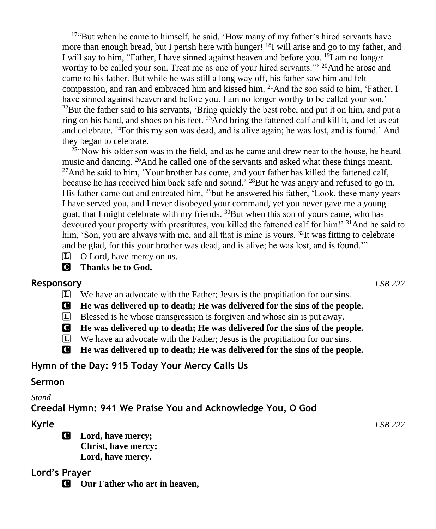$17$ "But when he came to himself, he said, 'How many of my father's hired servants have more than enough bread, but I perish here with hunger!  $18$ I will arise and go to my father, and I will say to him, "Father, I have sinned against heaven and before you. <sup>19</sup>I am no longer worthy to be called your son. Treat me as one of your hired servants."<sup>20</sup>And he arose and came to his father. But while he was still a long way off, his father saw him and felt compassion, and ran and embraced him and kissed him.  $^{21}$ And the son said to him, 'Father, I have sinned against heaven and before you. I am no longer worthy to be called your son.'  $^{22}$ But the father said to his servants, 'Bring quickly the best robe, and put it on him, and put a ring on his hand, and shoes on his feet.  $^{23}$ And bring the fattened calf and kill it, and let us eat and celebrate. <sup>24</sup>For this my son was dead, and is alive again; he was lost, and is found.' And they began to celebrate.

<sup>25"</sup>Now his older son was in the field, and as he came and drew near to the house, he heard music and dancing. <sup>26</sup>And he called one of the servants and asked what these things meant. <sup>27</sup>And he said to him, 'Your brother has come, and your father has killed the fattened calf, because he has received him back safe and sound.<sup>'</sup> <sup>28</sup>But he was angry and refused to go in. His father came out and entreated him, <sup>29</sup>but he answered his father, 'Look, these many years I have served you, and I never disobeyed your command, yet you never gave me a young goat, that I might celebrate with my friends. <sup>30</sup>But when this son of yours came, who has devoured your property with prostitutes, you killed the fattened calf for him!' <sup>31</sup>And he said to him, 'Son, you are always with me, and all that is mine is yours. <sup>32</sup>It was fitting to celebrate and be glad, for this your brother was dead, and is alive; he was lost, and is found.'"

L O Lord, have mercy on us.

C **Thanks be to God.**

### **Responsory** *LSB 222*

L We have an advocate with the Father; Jesus is the propitiation for our sins.

C **He was delivered up to death; He was delivered for the sins of the people.**

- L Blessed is he whose transgression is forgiven and whose sin is put away.
- C **He was delivered up to death; He was delivered for the sins of the people.**
- L We have an advocate with the Father; Jesus is the propitiation for our sins.
- C **He was delivered up to death; He was delivered for the sins of the people.**

# **Hymn of the Day: 915 Today Your Mercy Calls Us**

# **Sermon**

### *Stand*

**Creedal Hymn: 941 We Praise You and Acknowledge You, O God**

C **Lord, have mercy; Christ, have mercy; Lord, have mercy.**

# **Lord's Prayer**

C **Our Father who art in heaven,**

**Kyrie** *LSB 227*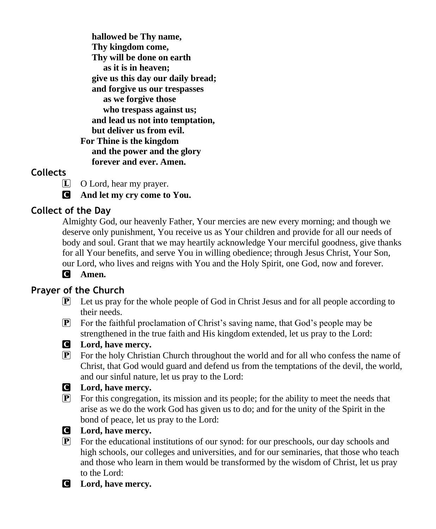**hallowed be Thy name, Thy kingdom come, Thy will be done on earth as it is in heaven; give us this day our daily bread; and forgive us our trespasses as we forgive those who trespass against us; and lead us not into temptation, but deliver us from evil. For Thine is the kingdom and the power and the glory forever and ever. Amen.**

## **Collects**

L O Lord, hear my prayer.

C **And let my cry come to You.**

# **Collect of the Day**

Almighty God, our heavenly Father, Your mercies are new every morning; and though we deserve only punishment, You receive us as Your children and provide for all our needs of body and soul. Grant that we may heartily acknowledge Your merciful goodness, give thanks for all Your benefits, and serve You in willing obedience; through Jesus Christ, Your Son, our Lord, who lives and reigns with You and the Holy Spirit, one God, now and forever.

# C **Amen.**

# **Prayer of the Church**

- P Let us pray for the whole people of God in Christ Jesus and for all people according to their needs.
- P For the faithful proclamation of Christ's saving name, that God's people may be strengthened in the true faith and His kingdom extended, let us pray to the Lord:



### C **Lord, have mercy.**

 $\boxed{\mathbf{P}}$  For the holy Christian Church throughout the world and for all who confess the name of Christ, that God would guard and defend us from the temptations of the devil, the world, and our sinful nature, let us pray to the Lord:

### C **Lord, have mercy.**

 $\mathbb{P}$  For this congregation, its mission and its people; for the ability to meet the needs that arise as we do the work God has given us to do; and for the unity of the Spirit in the bond of peace, let us pray to the Lord:



#### C **Lord, have mercy.**

- $\mathbf{P}$  For the educational institutions of our synod: for our preschools, our day schools and high schools, our colleges and universities, and for our seminaries, that those who teach and those who learn in them would be transformed by the wisdom of Christ, let us pray to the Lord:
- C **Lord, have mercy.**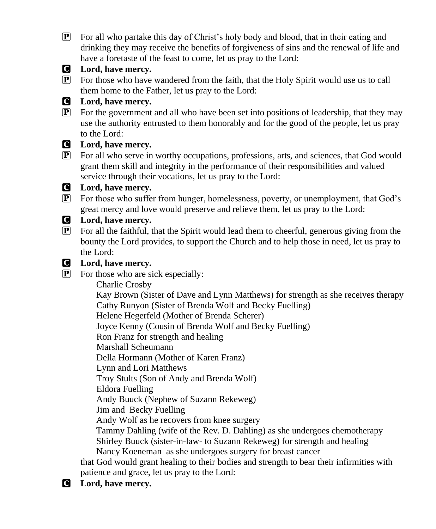P For all who partake this day of Christ's holy body and blood, that in their eating and drinking they may receive the benefits of forgiveness of sins and the renewal of life and have a foretaste of the feast to come, let us pray to the Lord:



#### C **Lord, have mercy.**

 $\mathbb{P}$  For those who have wandered from the faith, that the Holy Spirit would use us to call them home to the Father, let us pray to the Lord:

#### C **Lord, have mercy.**

 $\boxed{\mathbf{P}}$  For the government and all who have been set into positions of leadership, that they may use the authority entrusted to them honorably and for the good of the people, let us pray to the Lord:

#### C **Lord, have mercy.**

P For all who serve in worthy occupations, professions, arts, and sciences, that God would grant them skill and integrity in the performance of their responsibilities and valued service through their vocations, let us pray to the Lord:

#### C **Lord, have mercy.**

P For those who suffer from hunger, homelessness, poverty, or unemployment, that God's great mercy and love would preserve and relieve them, let us pray to the Lord:

#### C **Lord, have mercy.**

 $\mathbf{P}$  For all the faithful, that the Spirit would lead them to cheerful, generous giving from the bounty the Lord provides, to support the Church and to help those in need, let us pray to the Lord:

#### C **Lord, have mercy.**

 $\overline{P}$  For those who are sick especially:

Charlie Crosby

 Kay Brown (Sister of Dave and Lynn Matthews) for strength as she receives therapy Cathy Runyon (Sister of Brenda Wolf and Becky Fuelling)

Helene Hegerfeld (Mother of Brenda Scherer)

Joyce Kenny (Cousin of Brenda Wolf and Becky Fuelling)

Ron Franz for strength and healing

Marshall Scheumann

Della Hormann (Mother of Karen Franz)

Lynn and Lori Matthews

Troy Stults (Son of Andy and Brenda Wolf)

Eldora Fuelling

Andy Buuck (Nephew of Suzann Rekeweg)

Jim and Becky Fuelling

Andy Wolf as he recovers from knee surgery

 Tammy Dahling (wife of the Rev. D. Dahling) as she undergoes chemotherapy Shirley Buuck (sister-in-law- to Suzann Rekeweg) for strength and healing

Nancy Koeneman as she undergoes surgery for breast cancer

that God would grant healing to their bodies and strength to bear their infirmities with patience and grace, let us pray to the Lord:

## C **Lord, have mercy.**

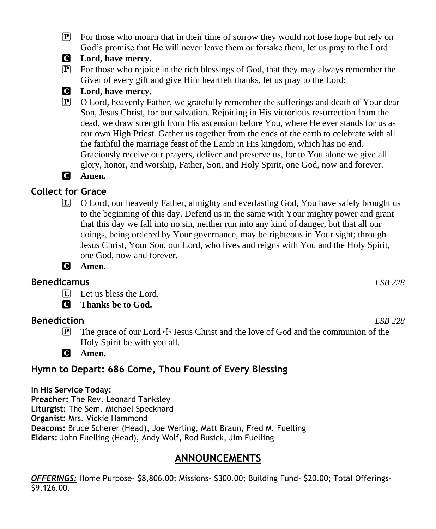$\mathbb{P}$  For those who mourn that in their time of sorrow they would not lose hope but rely on God's promise that He will never leave them or forsake them, let us pray to the Lord:



 $\mathbb{P}$  For those who rejoice in the rich blessings of God, that they may always remember the Giver of every gift and give Him heartfelt thanks, let us pray to the Lord:

### C **Lord, have mercy.**

P O Lord, heavenly Father, we gratefully remember the sufferings and death of Your dear Son, Jesus Christ, for our salvation. Rejoicing in His victorious resurrection from the dead, we draw strength from His ascension before You, where He ever stands for us as our own High Priest. Gather us together from the ends of the earth to celebrate with all the faithful the marriage feast of the Lamb in His kingdom, which has no end. Graciously receive our prayers, deliver and preserve us, for to You alone we give all glory, honor, and worship, Father, Son, and Holy Spirit, one God, now and forever.

# C **Amen.**

# **Collect for Grace**

L O Lord, our heavenly Father, almighty and everlasting God, You have safely brought us to the beginning of this day. Defend us in the same with Your mighty power and grant that this day we fall into no sin, neither run into any kind of danger, but that all our doings, being ordered by Your governance, may be righteous in Your sight; through Jesus Christ, Your Son, our Lord, who lives and reigns with You and the Holy Spirit, one God, now and forever.



# **Benedicamus** *LSB 228*

 $\Box$  Let us bless the Lord.

C **Thanks be to God.**

# **Benediction** *LSB 228*

**P** The grace of our Lord  $\pm$  Jesus Christ and the love of God and the communion of the Holy Spirit be with you all.

C **Amen.**

# **Hymn to Depart: 686 Come, Thou Fount of Every Blessing**

**In His Service Today: Preacher:** The Rev. Leonard Tanksley **Liturgist:** The Sem. Michael Speckhard **Organist:** Mrs. Vickie Hammond **Deacons:** Bruce Scherer (Head), Joe Werling, Matt Braun, Fred M. Fuelling **Elders:** John Fuelling (Head), Andy Wolf, Rod Busick, Jim Fuelling

# **ANNOUNCEMENTS**

*OFFERINGS:* Home Purpose- \$8,806.00; Missions- \$300.00; Building Fund- \$20.00; Total Offerings- \$9,126.00.